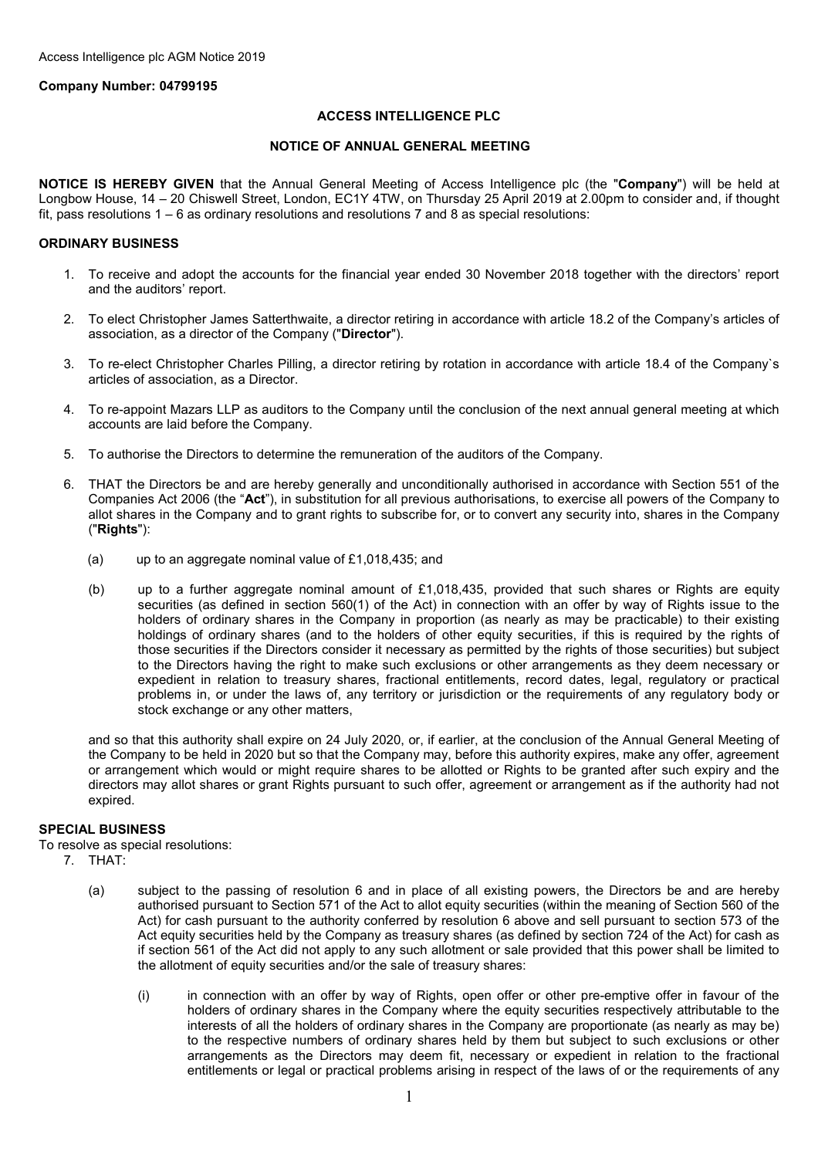# **Company Number: 04799195**

# **ACCESS INTELLIGENCE PLC**

# **NOTICE OF ANNUAL GENERAL MEETING**

**NOTICE IS HEREBY GIVEN** that the Annual General Meeting of Access Intelligence plc (the "**Company**") will be held at Longbow House, 14 – 20 Chiswell Street, London, EC1Y 4TW, on Thursday 25 April 2019 at 2.00pm to consider and, if thought fit, pass resolutions 1 – 6 as ordinary resolutions and resolutions 7 and 8 as special resolutions:

# **ORDINARY BUSINESS**

- 1. To receive and adopt the accounts for the financial year ended 30 November 2018 together with the directors' report and the auditors' report.
- 2. To elect Christopher James Satterthwaite, a director retiring in accordance with article 18.2 of the Company's articles of association, as a director of the Company ("**Director**").
- 3. To re-elect Christopher Charles Pilling, a director retiring by rotation in accordance with article 18.4 of the Company`s articles of association, as a Director.
- 4. To re-appoint Mazars LLP as auditors to the Company until the conclusion of the next annual general meeting at which accounts are laid before the Company.
- 5. To authorise the Directors to determine the remuneration of the auditors of the Company.
- 6. THAT the Directors be and are hereby generally and unconditionally authorised in accordance with Section 551 of the Companies Act 2006 (the "**Act**"), in substitution for all previous authorisations, to exercise all powers of the Company to allot shares in the Company and to grant rights to subscribe for, or to convert any security into, shares in the Company ("**Rights**"):
	- (a) up to an aggregate nominal value of £1,018,435; and
	- (b) up to a further aggregate nominal amount of £1,018,435, provided that such shares or Rights are equity securities (as defined in section 560(1) of the Act) in connection with an offer by way of Rights issue to the holders of ordinary shares in the Company in proportion (as nearly as may be practicable) to their existing holdings of ordinary shares (and to the holders of other equity securities, if this is required by the rights of those securities if the Directors consider it necessary as permitted by the rights of those securities) but subject to the Directors having the right to make such exclusions or other arrangements as they deem necessary or expedient in relation to treasury shares, fractional entitlements, record dates, legal, regulatory or practical problems in, or under the laws of, any territory or jurisdiction or the requirements of any regulatory body or stock exchange or any other matters,

and so that this authority shall expire on 24 July 2020, or, if earlier, at the conclusion of the Annual General Meeting of the Company to be held in 2020 but so that the Company may, before this authority expires, make any offer, agreement or arrangement which would or might require shares to be allotted or Rights to be granted after such expiry and the directors may allot shares or grant Rights pursuant to such offer, agreement or arrangement as if the authority had not expired.

# **SPECIAL BUSINESS**

To resolve as special resolutions:

- 7. THAT:
	- (a) subject to the passing of resolution 6 and in place of all existing powers, the Directors be and are hereby authorised pursuant to Section 571 of the Act to allot equity securities (within the meaning of Section 560 of the Act) for cash pursuant to the authority conferred by resolution 6 above and sell pursuant to section 573 of the Act equity securities held by the Company as treasury shares (as defined by section 724 of the Act) for cash as if section 561 of the Act did not apply to any such allotment or sale provided that this power shall be limited to the allotment of equity securities and/or the sale of treasury shares:
		- (i) in connection with an offer by way of Rights, open offer or other pre-emptive offer in favour of the holders of ordinary shares in the Company where the equity securities respectively attributable to the interests of all the holders of ordinary shares in the Company are proportionate (as nearly as may be) to the respective numbers of ordinary shares held by them but subject to such exclusions or other arrangements as the Directors may deem fit, necessary or expedient in relation to the fractional entitlements or legal or practical problems arising in respect of the laws of or the requirements of any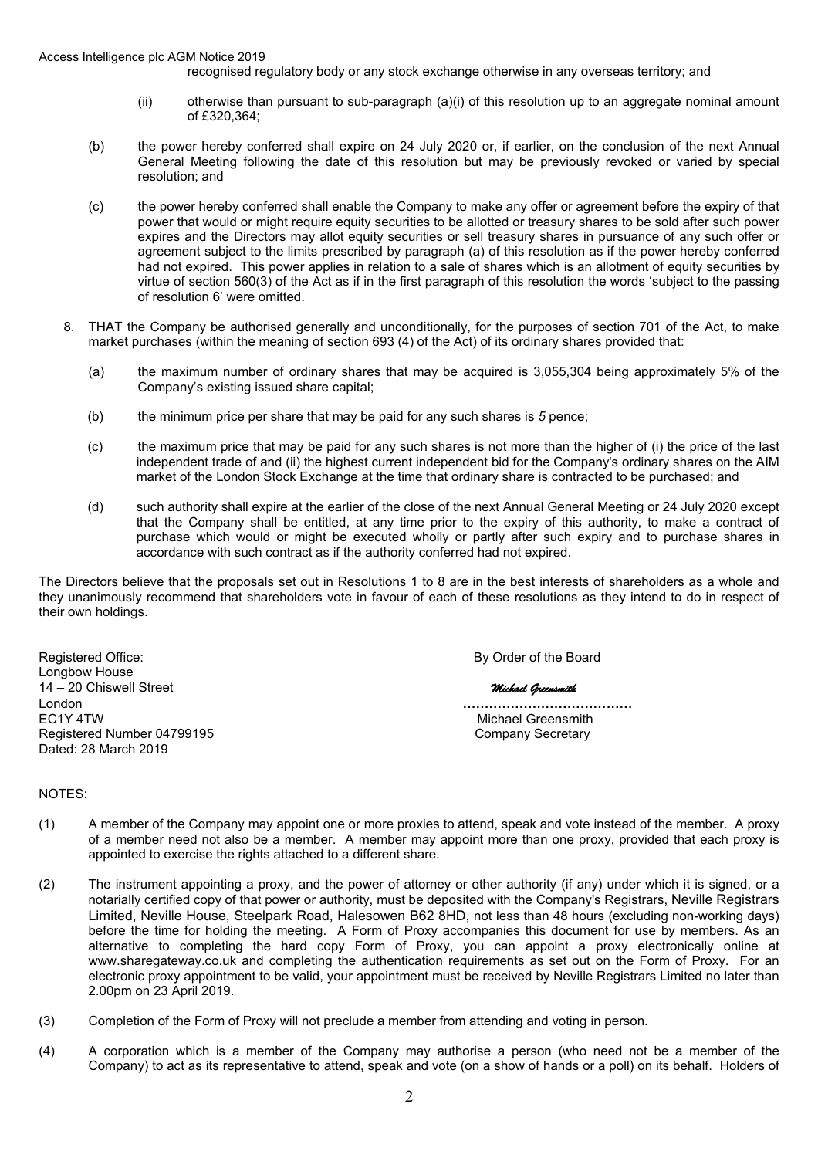recognised regulatory body or any stock exchange otherwise in any overseas territory; and

- (ii) otherwise than pursuant to sub-paragraph (a)(i) of this resolution up to an aggregate nominal amount of £320,364;
- (b) the power hereby conferred shall expire on 24 July 2020 or, if earlier, on the conclusion of the next Annual General Meeting following the date of this resolution but may be previously revoked or varied by special resolution; and
- (c) the power hereby conferred shall enable the Company to make any offer or agreement before the expiry of that power that would or might require equity securities to be allotted or treasury shares to be sold after such power expires and the Directors may allot equity securities or sell treasury shares in pursuance of any such offer or agreement subject to the limits prescribed by paragraph (a) of this resolution as if the power hereby conferred had not expired. This power applies in relation to a sale of shares which is an allotment of equity securities by virtue of section 560(3) of the Act as if in the first paragraph of this resolution the words 'subject to the passing of resolution 6' were omitted.
- 8. THAT the Company be authorised generally and unconditionally, for the purposes of section 701 of the Act, to make market purchases (within the meaning of section 693 (4) of the Act) of its ordinary shares provided that:
	- (a) the maximum number of ordinary shares that may be acquired is 3,055,304 being approximately 5% of the Company's existing issued share capital;
	- (b) the minimum price per share that may be paid for any such shares is *5* pence;
	- (c) the maximum price that may be paid for any such shares is not more than the higher of (i) the price of the last independent trade of and (ii) the highest current independent bid for the Company's ordinary shares on the AIM market of the London Stock Exchange at the time that ordinary share is contracted to be purchased; and
	- (d) such authority shall expire at the earlier of the close of the next Annual General Meeting or 24 July 2020 except that the Company shall be entitled, at any time prior to the expiry of this authority, to make a contract of purchase which would or might be executed wholly or partly after such expiry and to purchase shares in accordance with such contract as if the authority conferred had not expired.

The Directors believe that the proposals set out in Resolutions 1 to 8 are in the best interests of shareholders as a whole and they unanimously recommend that shareholders vote in favour of each of these resolutions as they intend to do in respect of their own holdings.

Registered Office: **By Order of the Board** Longbow House 14 – 20 Chiswell Street *Michael Greensmith* London **…………………………………** EC1Y 4TW Michael Greensmith Registered Number 04799195 Dated: 28 March 2019

### NOTES:

- (1) A member of the Company may appoint one or more proxies to attend, speak and vote instead of the member. A proxy of a member need not also be a member. A member may appoint more than one proxy, provided that each proxy is appointed to exercise the rights attached to a different share.
- (2) The instrument appointing a proxy, and the power of attorney or other authority (if any) under which it is signed, or a notarially certified copy of that power or authority, must be deposited with the Company's Registrars, Neville Registrars Limited, Neville House, Steelpark Road, Halesowen B62 8HD, not less than 48 hours (excluding non-working days) before the time for holding the meeting. A Form of Proxy accompanies this document for use by members. As an alternative to completing the hard copy Form of Proxy, you can appoint a proxy electronically online at www.sharegateway.co.uk and completing the authentication requirements as set out on the Form of Proxy. For an electronic proxy appointment to be valid, your appointment must be received by Neville Registrars Limited no later than 2.00pm on 23 April 2019.
- (3) Completion of the Form of Proxy will not preclude a member from attending and voting in person.
- (4) A corporation which is a member of the Company may authorise a person (who need not be a member of the Company) to act as its representative to attend, speak and vote (on a show of hands or a poll) on its behalf. Holders of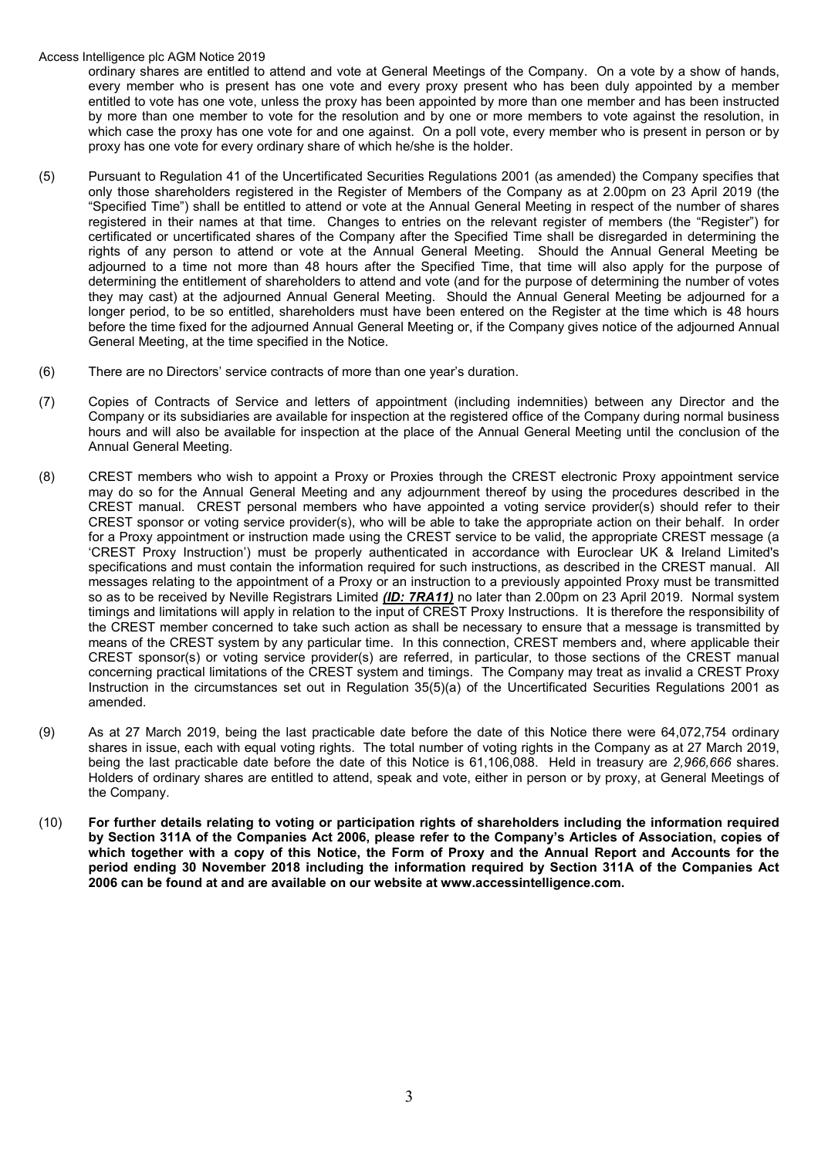## Access Intelligence plc AGM Notice 2019

ordinary shares are entitled to attend and vote at General Meetings of the Company. On a vote by a show of hands, every member who is present has one vote and every proxy present who has been duly appointed by a member entitled to vote has one vote, unless the proxy has been appointed by more than one member and has been instructed by more than one member to vote for the resolution and by one or more members to vote against the resolution, in which case the proxy has one vote for and one against. On a poll vote, every member who is present in person or by proxy has one vote for every ordinary share of which he/she is the holder.

- (5) Pursuant to Regulation 41 of the Uncertificated Securities Regulations 2001 (as amended) the Company specifies that only those shareholders registered in the Register of Members of the Company as at 2.00pm on 23 April 2019 (the "Specified Time") shall be entitled to attend or vote at the Annual General Meeting in respect of the number of shares registered in their names at that time. Changes to entries on the relevant register of members (the "Register") for certificated or uncertificated shares of the Company after the Specified Time shall be disregarded in determining the rights of any person to attend or vote at the Annual General Meeting. Should the Annual General Meeting be adjourned to a time not more than 48 hours after the Specified Time, that time will also apply for the purpose of determining the entitlement of shareholders to attend and vote (and for the purpose of determining the number of votes they may cast) at the adjourned Annual General Meeting. Should the Annual General Meeting be adjourned for a longer period, to be so entitled, shareholders must have been entered on the Register at the time which is 48 hours before the time fixed for the adjourned Annual General Meeting or, if the Company gives notice of the adjourned Annual General Meeting, at the time specified in the Notice.
- (6) There are no Directors' service contracts of more than one year's duration.
- (7) Copies of Contracts of Service and letters of appointment (including indemnities) between any Director and the Company or its subsidiaries are available for inspection at the registered office of the Company during normal business hours and will also be available for inspection at the place of the Annual General Meeting until the conclusion of the Annual General Meeting.
- (8) CREST members who wish to appoint a Proxy or Proxies through the CREST electronic Proxy appointment service may do so for the Annual General Meeting and any adjournment thereof by using the procedures described in the CREST manual. CREST personal members who have appointed a voting service provider(s) should refer to their CREST sponsor or voting service provider(s), who will be able to take the appropriate action on their behalf. In order for a Proxy appointment or instruction made using the CREST service to be valid, the appropriate CREST message (a 'CREST Proxy Instruction') must be properly authenticated in accordance with Euroclear UK & Ireland Limited's specifications and must contain the information required for such instructions, as described in the CREST manual. All messages relating to the appointment of a Proxy or an instruction to a previously appointed Proxy must be transmitted so as to be received by Neville Registrars Limited *(ID: 7RA11)* no later than 2.00pm on 23 April 2019. Normal system timings and limitations will apply in relation to the input of CREST Proxy Instructions. It is therefore the responsibility of the CREST member concerned to take such action as shall be necessary to ensure that a message is transmitted by means of the CREST system by any particular time. In this connection, CREST members and, where applicable their CREST sponsor(s) or voting service provider(s) are referred, in particular, to those sections of the CREST manual concerning practical limitations of the CREST system and timings. The Company may treat as invalid a CREST Proxy Instruction in the circumstances set out in Regulation 35(5)(a) of the Uncertificated Securities Regulations 2001 as amended.
- (9) As at 27 March 2019, being the last practicable date before the date of this Notice there were 64,072,754 ordinary shares in issue, each with equal voting rights. The total number of voting rights in the Company as at 27 March 2019, being the last practicable date before the date of this Notice is 61,106,088. Held in treasury are *2,966,666* shares. Holders of ordinary shares are entitled to attend, speak and vote, either in person or by proxy, at General Meetings of the Company.
- (10) **For further details relating to voting or participation rights of shareholders including the information required by Section 311A of the Companies Act 2006, please refer to the Company's Articles of Association, copies of which together with a copy of this Notice, the Form of Proxy and the Annual Report and Accounts for the period ending 30 November 2018 including the information required by Section 311A of the Companies Act 2006 can be found at and are available on our website at www.accessintelligence.com.**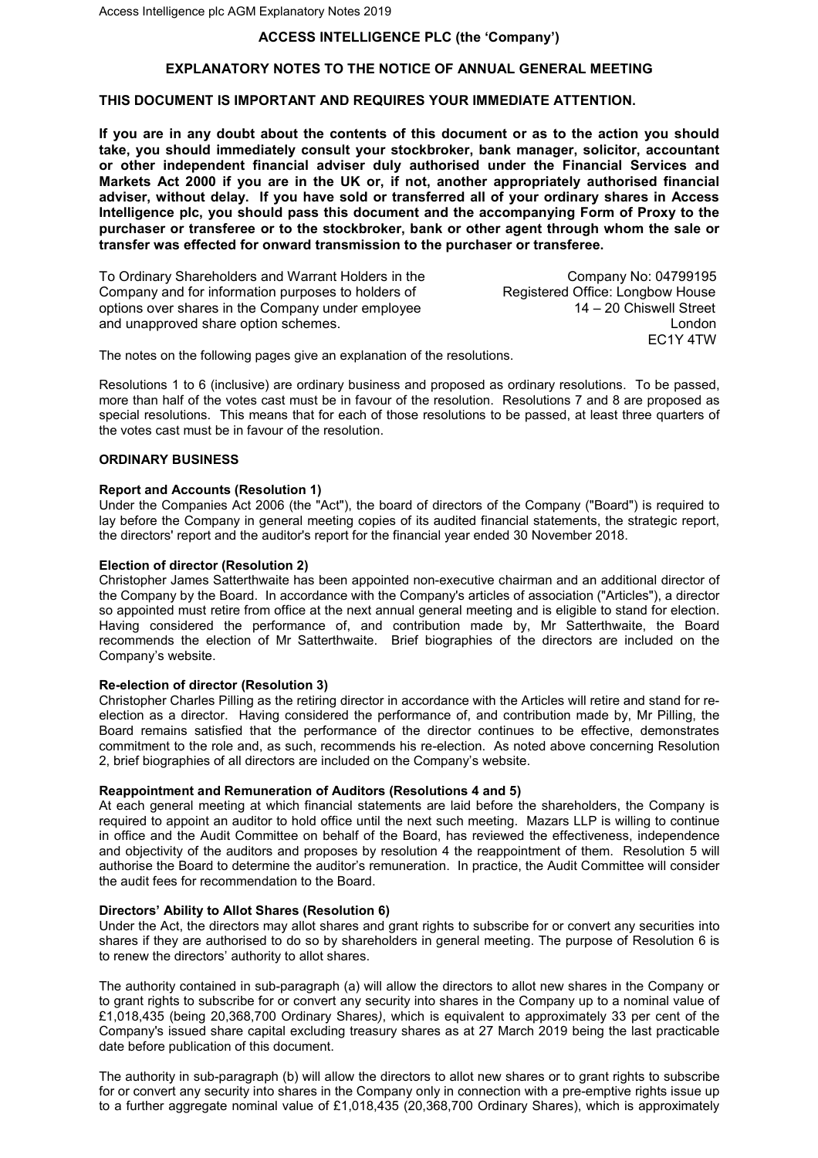# **ACCESS INTELLIGENCE PLC (the 'Company')**

## **EXPLANATORY NOTES TO THE NOTICE OF ANNUAL GENERAL MEETING**

## **THIS DOCUMENT IS IMPORTANT AND REQUIRES YOUR IMMEDIATE ATTENTION.**

**If you are in any doubt about the contents of this document or as to the action you should take, you should immediately consult your stockbroker, bank manager, solicitor, accountant or other independent financial adviser duly authorised under the Financial Services and Markets Act 2000 if you are in the UK or, if not, another appropriately authorised financial adviser, without delay. If you have sold or transferred all of your ordinary shares in Access Intelligence plc, you should pass this document and the accompanying Form of Proxy to the purchaser or transferee or to the stockbroker, bank or other agent through whom the sale or transfer was effected for onward transmission to the purchaser or transferee.** 

To Ordinary Shareholders and Warrant Holders in the Company No: 04799195 Company and for information purposes to holders of Registered Office: Longbow House<br>options over shares in the Company under employee 14 – 20 Chiswell Street options over shares in the Company under employee

and unapproved share option schemes.<br>EC1Y 4TW EC1Y 4TW

The notes on the following pages give an explanation of the resolutions.

Resolutions 1 to 6 (inclusive) are ordinary business and proposed as ordinary resolutions. To be passed, more than half of the votes cast must be in favour of the resolution. Resolutions 7 and 8 are proposed as special resolutions. This means that for each of those resolutions to be passed, at least three quarters of the votes cast must be in favour of the resolution.

# **ORDINARY BUSINESS**

#### **Report and Accounts (Resolution 1)**

Under the Companies Act 2006 (the "Act"), the board of directors of the Company ("Board") is required to lay before the Company in general meeting copies of its audited financial statements, the strategic report, the directors' report and the auditor's report for the financial year ended 30 November 2018.

#### **Election of director (Resolution 2)**

Christopher James Satterthwaite has been appointed non-executive chairman and an additional director of the Company by the Board. In accordance with the Company's articles of association ("Articles"), a director so appointed must retire from office at the next annual general meeting and is eligible to stand for election. Having considered the performance of, and contribution made by, Mr Satterthwaite, the Board recommends the election of Mr Satterthwaite. Brief biographies of the directors are included on the Company's website.

### **Re-election of director (Resolution 3)**

Christopher Charles Pilling as the retiring director in accordance with the Articles will retire and stand for reelection as a director. Having considered the performance of, and contribution made by, Mr Pilling, the Board remains satisfied that the performance of the director continues to be effective, demonstrates commitment to the role and, as such, recommends his re-election. As noted above concerning Resolution 2, brief biographies of all directors are included on the Company's website.

### **Reappointment and Remuneration of Auditors (Resolutions 4 and 5)**

At each general meeting at which financial statements are laid before the shareholders, the Company is required to appoint an auditor to hold office until the next such meeting. Mazars LLP is willing to continue in office and the Audit Committee on behalf of the Board, has reviewed the effectiveness, independence and objectivity of the auditors and proposes by resolution 4 the reappointment of them. Resolution 5 will authorise the Board to determine the auditor's remuneration. In practice, the Audit Committee will consider the audit fees for recommendation to the Board.

#### **Directors' Ability to Allot Shares (Resolution 6)**

Under the Act, the directors may allot shares and grant rights to subscribe for or convert any securities into shares if they are authorised to do so by shareholders in general meeting. The purpose of Resolution 6 is to renew the directors' authority to allot shares.

The authority contained in sub-paragraph (a) will allow the directors to allot new shares in the Company or to grant rights to subscribe for or convert any security into shares in the Company up to a nominal value of £1,018,435 (being 20,368,700 Ordinary Shares*)*, which is equivalent to approximately 33 per cent of the Company's issued share capital excluding treasury shares as at 27 March 2019 being the last practicable date before publication of this document.

The authority in sub-paragraph (b) will allow the directors to allot new shares or to grant rights to subscribe for or convert any security into shares in the Company only in connection with a pre-emptive rights issue up to a further aggregate nominal value of £1,018,435 (20,368,700 Ordinary Shares), which is approximately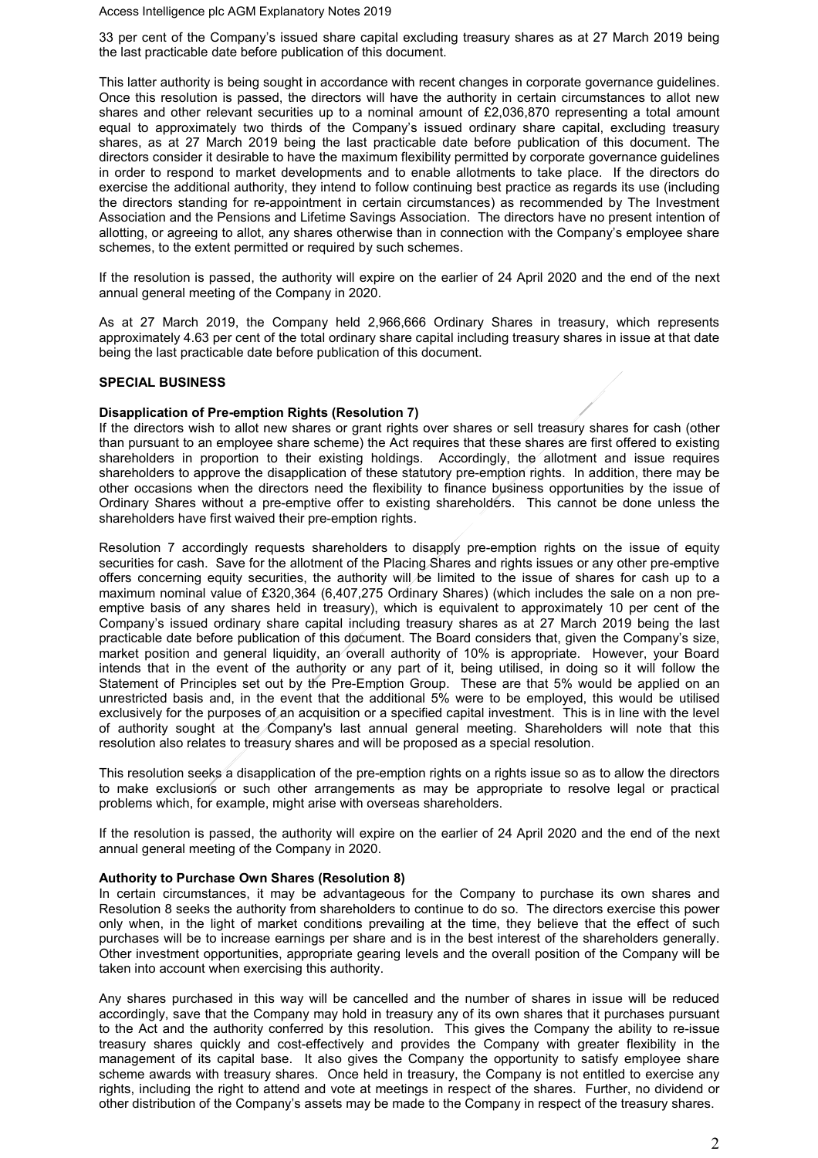Access Intelligence plc AGM Explanatory Notes 2019

33 per cent of the Company's issued share capital excluding treasury shares as at 27 March 2019 being the last practicable date before publication of this document.

This latter authority is being sought in accordance with recent changes in corporate governance guidelines. Once this resolution is passed, the directors will have the authority in certain circumstances to allot new shares and other relevant securities up to a nominal amount of £2,036,870 representing a total amount equal to approximately two thirds of the Company's issued ordinary share capital, excluding treasury shares, as at 27 March 2019 being the last practicable date before publication of this document. The directors consider it desirable to have the maximum flexibility permitted by corporate governance guidelines in order to respond to market developments and to enable allotments to take place. If the directors do exercise the additional authority, they intend to follow continuing best practice as regards its use (including the directors standing for re-appointment in certain circumstances) as recommended by The Investment Association and the Pensions and Lifetime Savings Association. The directors have no present intention of allotting, or agreeing to allot, any shares otherwise than in connection with the Company's employee share schemes, to the extent permitted or required by such schemes.

If the resolution is passed, the authority will expire on the earlier of 24 April 2020 and the end of the next annual general meeting of the Company in 2020.

As at 27 March 2019, the Company held 2,966,666 Ordinary Shares in treasury, which represents approximately 4.63 per cent of the total ordinary share capital including treasury shares in issue at that date being the last practicable date before publication of this document.

## **SPECIAL BUSINESS**

### **Disapplication of Pre-emption Rights (Resolution 7)**

If the directors wish to allot new shares or grant rights over shares or sell treasury shares for cash (other than pursuant to an employee share scheme) the Act requires that these shares are first offered to existing shareholders in proportion to their existing holdings. Accordingly, the allotment and issue requires shareholders to approve the disapplication of these statutory pre-emption rights. In addition, there may be other occasions when the directors need the flexibility to finance business opportunities by the issue of Ordinary Shares without a pre-emptive offer to existing shareholders. This cannot be done unless the shareholders have first waived their pre-emption rights.

Resolution 7 accordingly requests shareholders to disapply pre-emption rights on the issue of equity securities for cash. Save for the allotment of the Placing Shares and rights issues or any other pre-emptive offers concerning equity securities, the authority will be limited to the issue of shares for cash up to a maximum nominal value of £320,364 (6,407,275 Ordinary Shares) (which includes the sale on a non preemptive basis of any shares held in treasury), which is equivalent to approximately 10 per cent of the Company's issued ordinary share capital including treasury shares as at 27 March 2019 being the last practicable date before publication of this document. The Board considers that, given the Company's size, market position and general liquidity, an overall authority of 10% is appropriate. However, your Board intends that in the event of the authority or any part of it, being utilised, in doing so it will follow the Statement of Principles set out by the Pre-Emption Group. These are that 5% would be applied on an unrestricted basis and, in the event that the additional 5% were to be employed, this would be utilised exclusively for the purposes of an acquisition or a specified capital investment. This is in line with the level of authority sought at the Company's last annual general meeting. Shareholders will note that this resolution also relates to treasury shares and will be proposed as a special resolution.

This resolution seeks a disapplication of the pre-emption rights on a rights issue so as to allow the directors to make exclusions or such other arrangements as may be appropriate to resolve legal or practical problems which, for example, might arise with overseas shareholders.

If the resolution is passed, the authority will expire on the earlier of 24 April 2020 and the end of the next annual general meeting of the Company in 2020.

#### **Authority to Purchase Own Shares (Resolution 8)**

In certain circumstances, it may be advantageous for the Company to purchase its own shares and Resolution 8 seeks the authority from shareholders to continue to do so. The directors exercise this power only when, in the light of market conditions prevailing at the time, they believe that the effect of such purchases will be to increase earnings per share and is in the best interest of the shareholders generally. Other investment opportunities, appropriate gearing levels and the overall position of the Company will be taken into account when exercising this authority.

Any shares purchased in this way will be cancelled and the number of shares in issue will be reduced accordingly, save that the Company may hold in treasury any of its own shares that it purchases pursuant to the Act and the authority conferred by this resolution. This gives the Company the ability to re-issue treasury shares quickly and cost-effectively and provides the Company with greater flexibility in the management of its capital base. It also gives the Company the opportunity to satisfy employee share scheme awards with treasury shares. Once held in treasury, the Company is not entitled to exercise any rights, including the right to attend and vote at meetings in respect of the shares. Further, no dividend or other distribution of the Company's assets may be made to the Company in respect of the treasury shares.